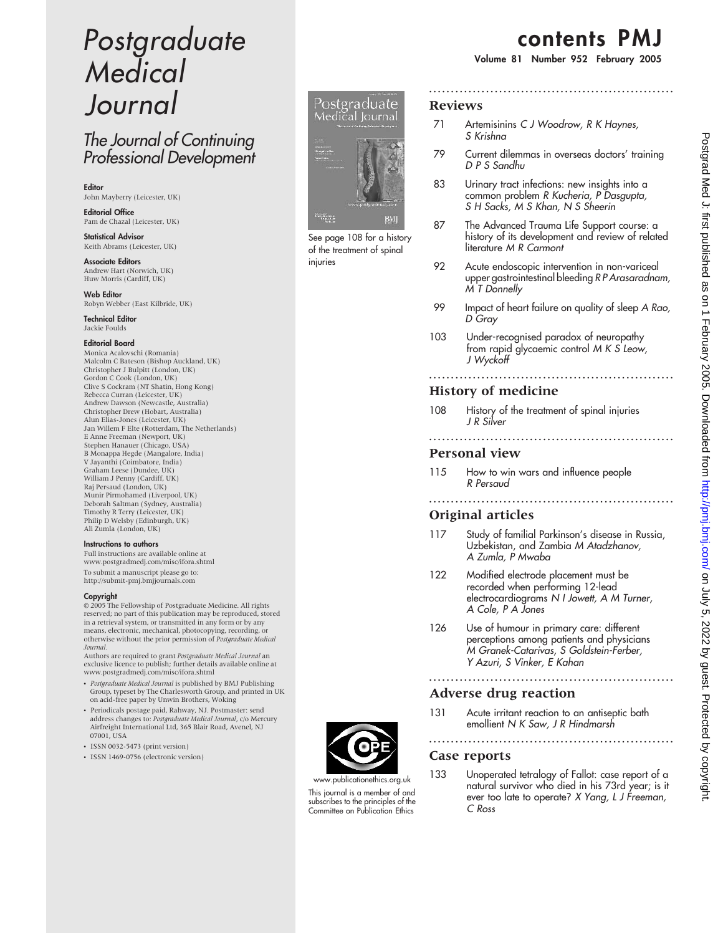# Postgraduate Medical Journal

# The Journal of Continuing Professional Development

Editor John Mayberry (Leicester, UK)

Editorial Office Pam de Chazal (Leicester, UK)

Statistical Advisor Keith Abrams (Leicester, UK)

Associate Editors Andrew Hart (Norwich, UK) Huw Morris (Cardiff, UK)

Web Editor Robyn Webber (East Kilbride, UK)

Technical Editor Jackie Foulds

#### Editorial Board

Monica Acalovschi (Romania) Malcolm C Bateson (Bishop Auckland, UK) Christopher J Bulpitt (London, UK) Gordon C Cook (London, UK) Clive S Cockram (NT Shatin, Hong Kong) Rebecca Curran (Leicester, UK) Andrew Dawson (Newcastle, Australia) Christopher Drew (Hobart, Australia) Alun Elias-Jones (Leicester, UK) Jan Willem F Elte (Rotterdam, The Netherlands) E Anne Freeman (Newport, UK) Stephen Hanauer (Chicago, USA) B Monappa Hegde (Mangalore, India) V Jayanthi (Coimbatore, India) Graham Leese (Dundee, UK) William J Penny (Cardiff, UK) Raj Persaud (London, UK) Munir Pirmohamed (Liverpool, UK) Deborah Saltman (Sydney, Australia) Timothy R Terry (Leicester, UK) Philip D Welsby (Edinburgh, UK) Ali Zumla (London, UK)

#### Instructions to authors

Full instructions are available online at www.postgradmedj.com/misc/ifora.shtml To submit a manuscript please go to: http://submit-pmj.bmjjournals.com

#### Copyright

 $© 2005$  The Fellowship of Postgraduate Medicine. All rights reserved; no part of this publication may be reproduced, stored in a retrieval system, or transmitted in any form or by any means, electronic, mechanical, photocopying, recording, or otherwise without the prior permission of Postgraduate Medical

J*ournal.*<br>Authors are required to grant *Postgraduate Medical Journal* an exclusive licence to publish; further details available online at www.postgradmedj.com/misc/ifora.shtml

- Postgraduate Medical Journal is published by BMJ Publishing Group, typeset by The Charlesworth Group, and printed in UK on acid-free paper by Unwin Brothers, Woking
- Periodicals postage paid, Rahway, NJ. Postmaster: send address changes to: *Postgraduate Medical Journal, c/*o Mercury<br>Airfreight International Ltd, 365 Blair Road, Avenel, NJ 07001, USA
- ISSN 0032-5473 (print version)
- ISSN 1469-0756 (electronic version)



See page 108 for a history of the treatment of spinal injuries

# contents PMJ

Volume 81 Number 952 February 2005

### Reviews

- 71 Artemisinins C J Woodrow, R K Haynes, S Krishna
- 79 Current dilemmas in overseas doctors' training D P S Sandhu

........................................................

- 83 Urinary tract infections: new insights into a common problem R Kucheria, P Dasgupta, S H Sacks, M S Khan, N S Sheerin
- 87 The Advanced Trauma Life Support course: a history of its development and review of related literature M R Carmont
- 92 Acute endoscopic intervention in non-variceal upper gastrointestinal bleeding R P Arasaradnam, M T Donnelly
- 99 Impact of heart failure on quality of sleep A Rao, D Gray

........................................................

........................................................

103 Under-recognised paradox of neuropathy from rapid glycaemic control M K S Leow, J Wyckoff

### History of medicine

108 History of the treatment of spinal injuries J R Silver

#### Personal view

115 How to win wars and influence people R Persaud

# Original articles

117 Study of familial Parkinson's disease in Russia, Uzbekistan, and Zambia M Atadzhanov, A Zumla, P Mwaba

........................................................

- 122 Modified electrode placement must be recorded when performing 12-lead electrocardiograms N I Jowett, A M Turner, A Cole, P A Jones
- 126 Use of humour in primary care: different perceptions among patients and physicians M Granek-Catarivas, S Goldstein-Ferber, Y Azuri, S Vinker, E Kahan

........................................................

## Adverse drug reaction

131 Acute irritant reaction to an antiseptic bath emollient N K Saw, J R Hindmarsh

#### ........................................................ Case reports

133 Unoperated tetralogy of Fallot: case report of a natural survivor who died in his 73rd year; is it ever too late to operate? X Yang, L J Freeman, C Ross



This journal is a member of and subscribes to the principles of the Committee on Publication Ethics